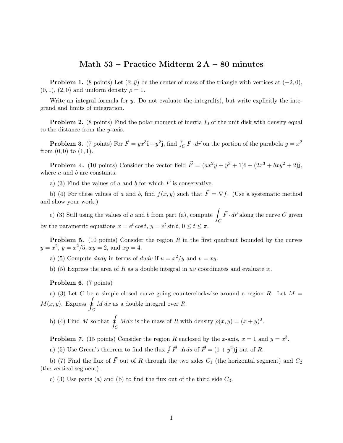## Math 53 – Practice Midterm 2 A – 80 minutes

**Problem 1.** (8 points) Let  $(\bar{x}, \bar{y})$  be the center of mass of the triangle with vertices at  $(-2, 0)$ ,  $(0, 1), (2, 0)$  and uniform density  $\rho = 1$ .

Write an integral formula for  $\bar{y}$ . Do not evaluate the integral(s), but write explicitly the integrand and limits of integration.

**Problem 2.** (8 points) Find the polar moment of inertia  $I_0$  of the unit disk with density equal to the distance from the  $y$ -axis.

**Problem 3.** (7 points) For  $\vec{F} = yx^3\hat{i} + y^2\hat{j}$ , find  $\int_C \vec{F} \cdot d\vec{r}$  on the portion of the parabola  $y = x^2$ from  $(0, 0)$  to  $(1, 1)$ .

**Problem 4.** (10 points) Consider the vector field  $\vec{F} = (ax^2y + y^3 + 1)\hat{i} + (2x^3 + bxy^2 + 2)\hat{j}$ , where *a* and *b* are constants.

a) (3) Find the values of a and b for which  $\vec{F}$  is conservative.

b) (4) For these values of a and b, find  $f(x, y)$  such that  $\vec{F} = \nabla f$ . (Use a systematic method and show your work.)

c) (3) Still using the values of a and b from part (a), compute  $\int_C \vec{F} \cdot d\vec{r}$  along the curve C given by the parametric equations  $x = e^t \cos t$ ,  $y = e^t \sin t$ ,  $0 \le t \le \pi$ .

**Problem 5.** (10 points) Consider the region  $R$  in the first quadrant bounded by the curves  $y = x^2$ ,  $y = x^2/5$ ,  $xy = 2$ , and  $xy = 4$ .

a) (5) Compute  $dxdy$  in terms of  $dudv$  if  $u = x^2/y$  and  $v = xy$ .

b) (5) Express the area of R as a double integral in uv coordinates and evaluate it.

Problem 6. (7 points)

a) (3) Let C be a simple closed curve going counterclockwise around a region R. Let  $M =$  $M(x, y)$ . Express  $\oint_C M dx$  as a double integral over R.

b) (4) Find M so that  $\oint_C M dx$  is the mass of R with density  $\rho(x, y) = (x + y)^2$ .

**Problem 7.** (15 points) Consider the region R enclosed by the x-axis,  $x = 1$  and  $y = x^3$ .

a) (5) Use Green's theorem to find the flux  $\oint \vec{F} \cdot \hat{\mathbf{n}} ds$  of  $\vec{F} = (1 + y^2)\hat{\mathbf{j}}$  out of R.

b) (7) Find the flux of  $\vec{F}$  out of R through the two sides  $C_1$  (the horizontal segment) and  $C_2$ (the vertical segment).

c) (3) Use parts (a) and (b) to find the flux out of the third side  $C_3$ .